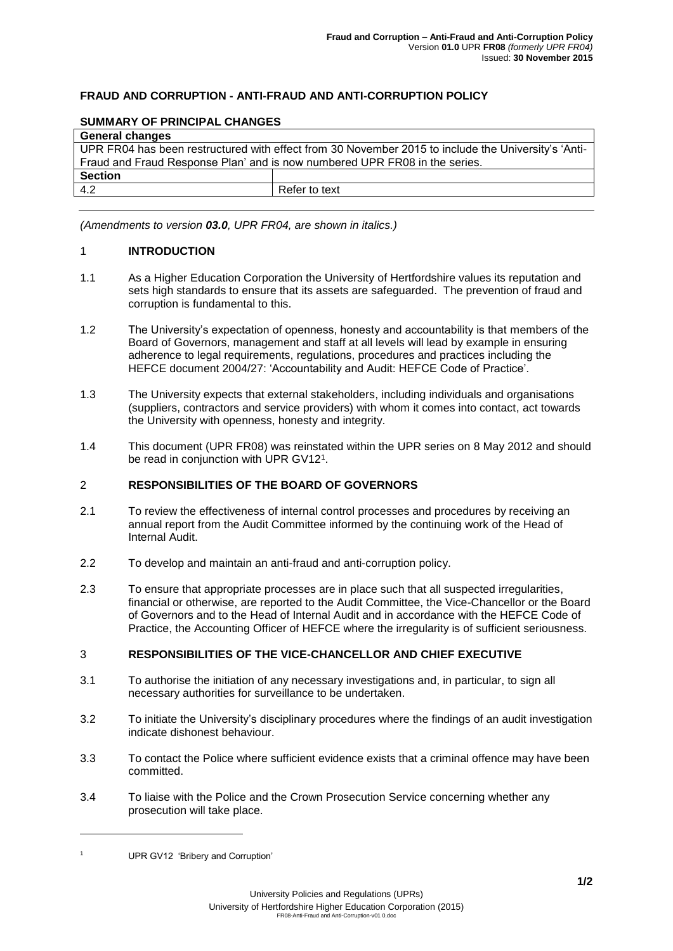# **FRAUD AND CORRUPTION - ANTI-FRAUD AND ANTI-CORRUPTION POLICY**

#### **SUMMARY OF PRINCIPAL CHANGES**

| <b>General changes</b>                                                                              |               |
|-----------------------------------------------------------------------------------------------------|---------------|
| UPR FR04 has been restructured with effect from 30 November 2015 to include the University's 'Anti- |               |
| Fraud and Fraud Response Plan' and is now numbered UPR FR08 in the series.                          |               |
| <b>Section</b>                                                                                      |               |
| 4.2                                                                                                 | Refer to text |
|                                                                                                     |               |

*(Amendments to version 03.0, UPR FR04, are shown in italics.)*

## 1 **INTRODUCTION**

- 1.1 As a Higher Education Corporation the University of Hertfordshire values its reputation and sets high standards to ensure that its assets are safeguarded. The prevention of fraud and corruption is fundamental to this.
- 1.2 The University's expectation of openness, honesty and accountability is that members of the Board of Governors, management and staff at all levels will lead by example in ensuring adherence to legal requirements, regulations, procedures and practices including the HEFCE document 2004/27: 'Accountability and Audit: HEFCE Code of Practice'.
- 1.3 The University expects that external stakeholders, including individuals and organisations (suppliers, contractors and service providers) with whom it comes into contact, act towards the University with openness, honesty and integrity.
- 1.4 This document (UPR FR08) was reinstated within the UPR series on 8 May 2012 and should be read in conjunction with UPR GV12<sup>1</sup>.

#### 2 **RESPONSIBILITIES OF THE BOARD OF GOVERNORS**

- 2.1 To review the effectiveness of internal control processes and procedures by receiving an annual report from the Audit Committee informed by the continuing work of the Head of Internal Audit.
- 2.2 To develop and maintain an anti-fraud and anti-corruption policy.
- 2.3 To ensure that appropriate processes are in place such that all suspected irregularities, financial or otherwise, are reported to the Audit Committee, the Vice-Chancellor or the Board of Governors and to the Head of Internal Audit and in accordance with the HEFCE Code of Practice, the Accounting Officer of HEFCE where the irregularity is of sufficient seriousness.

# 3 **RESPONSIBILITIES OF THE VICE-CHANCELLOR AND CHIEF EXECUTIVE**

- 3.1 To authorise the initiation of any necessary investigations and, in particular, to sign all necessary authorities for surveillance to be undertaken.
- 3.2 To initiate the University's disciplinary procedures where the findings of an audit investigation indicate dishonest behaviour.
- 3.3 To contact the Police where sufficient evidence exists that a criminal offence may have been committed.
- 3.4 To liaise with the Police and the Crown Prosecution Service concerning whether any prosecution will take place.

UPR GV12 'Bribery and Corruption'